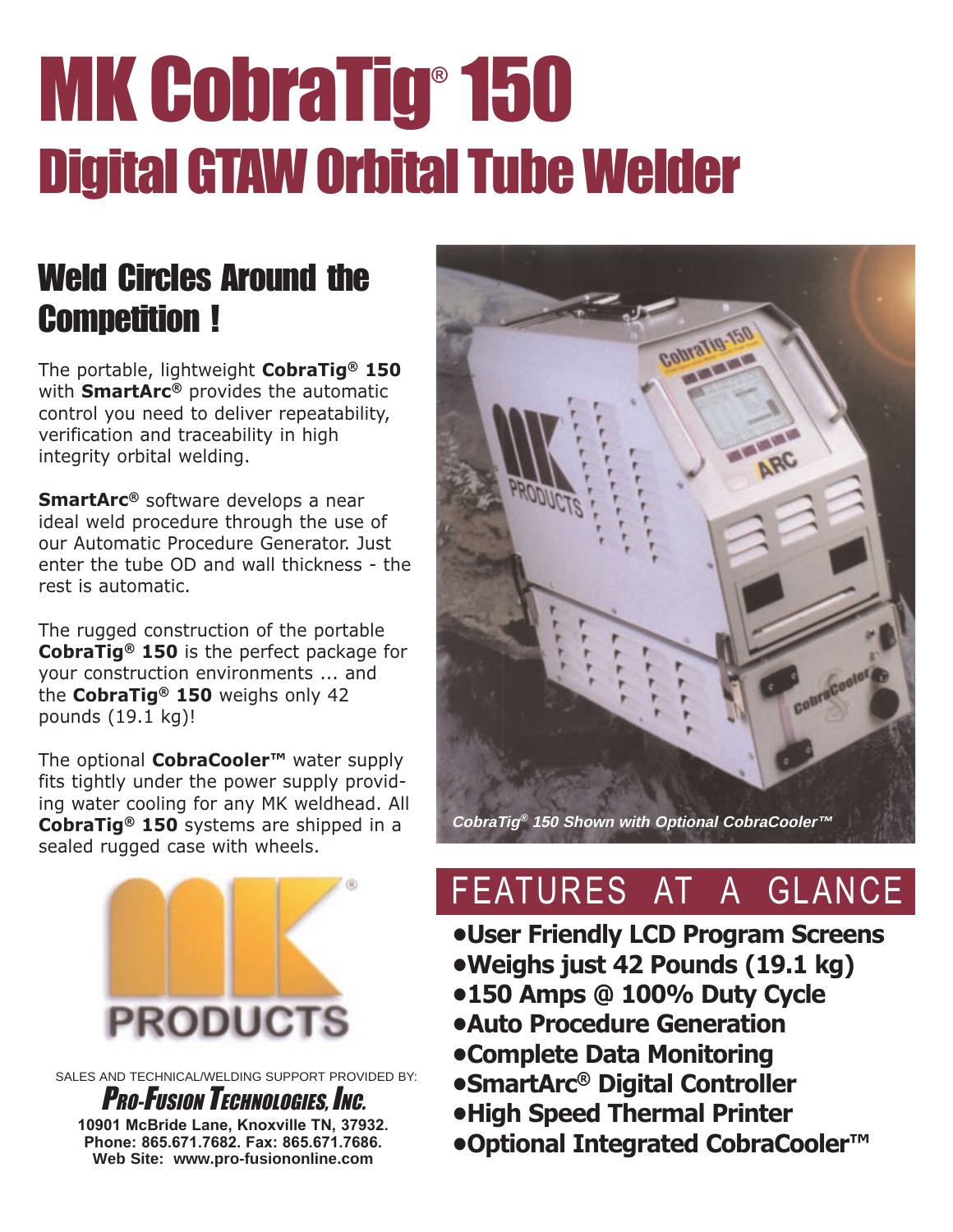# MK CobraTig® 150 Digital GTAW Orbital Tube Welder

### Weld Circles Around the Competition !

The portable, lightweight CobraTig® 150 with **SmartArc®** provides the automatic control you need to deliver repeatability, verification and traceability in high integrity orbital welding.

SmartArc<sup>®</sup> software develops a near ideal weld procedure through the use of our Automatic Procedure Generator. Just enter the tube OD and wall thickness - the rest is automatic.

The rugged construction of the portable CobraTig® 150 is the perfect package for your construction environments ... and the CobraTig<sup>®</sup> 150 weighs only 42 pounds (19.1 kg)!

The optional **CobraCooler<sup>™</sup>** water supply fits tightly under the power supply providing water cooling for any MK weldhead. All CobraTig® 150 systems are shipped in a sealed rugged case with wheels.



SALES AND TECHNICAL/WELDING SUPPORT PROVIDED BY:

**PRO-FUSION TECHNOLOGIES, INC. 10901 McBride Lane, Knoxville TN, 37932. Phone: 865.671.7682. Fax: 865.671.7686. Web Site: www.pro-fusiononline.com**



## FEATURES AT A GLANCE

User Friendly LCD Program Screens Weighs just 42 Pounds (19.1 kg)

- 150 Amps @ 100% Duty Cycle
- Auto Procedure Generation
- Complete Data Monitoring
- SmartArc® Digital Controller
- High Speed Thermal Printer
- Optional Integrated CobraCooler<sup>™</sup>